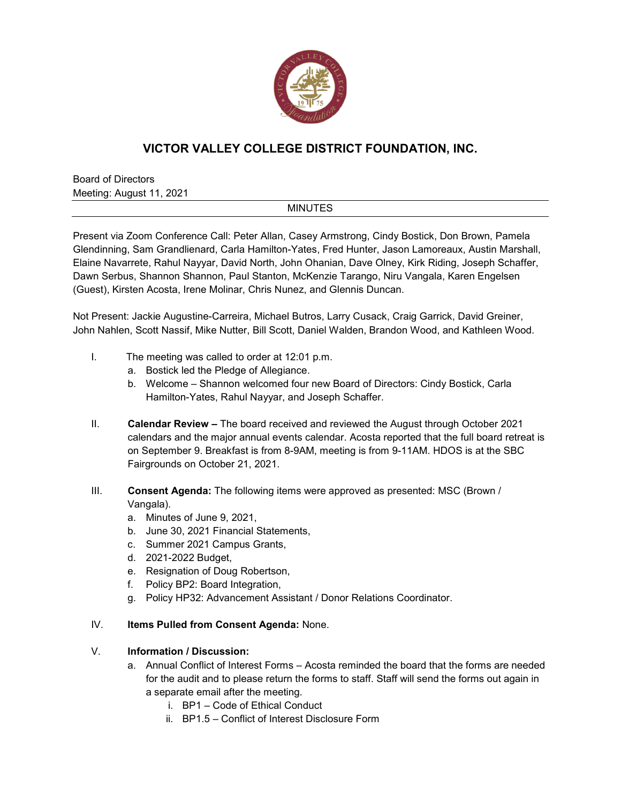

# **VICTOR VALLEY COLLEGE DISTRICT FOUNDATION, INC.**

Board of Directors Meeting: August 11, 2021

### MINUTES

Present via Zoom Conference Call: Peter Allan, Casey Armstrong, Cindy Bostick, Don Brown, Pamela Glendinning, Sam Grandlienard, Carla Hamilton-Yates, Fred Hunter, Jason Lamoreaux, Austin Marshall, Elaine Navarrete, Rahul Nayyar, David North, John Ohanian, Dave Olney, Kirk Riding, Joseph Schaffer, Dawn Serbus, Shannon Shannon, Paul Stanton, McKenzie Tarango, Niru Vangala, Karen Engelsen (Guest), Kirsten Acosta, Irene Molinar, Chris Nunez, and Glennis Duncan.

Not Present: Jackie Augustine-Carreira, Michael Butros, Larry Cusack, Craig Garrick, David Greiner, John Nahlen, Scott Nassif, Mike Nutter, Bill Scott, Daniel Walden, Brandon Wood, and Kathleen Wood.

- I. The meeting was called to order at 12:01 p.m.
	- a. Bostick led the Pledge of Allegiance.
	- b. Welcome Shannon welcomed four new Board of Directors: Cindy Bostick, Carla Hamilton-Yates, Rahul Nayyar, and Joseph Schaffer.
- II. **Calendar Review –** The board received and reviewed the August through October 2021 calendars and the major annual events calendar. Acosta reported that the full board retreat is on September 9. Breakfast is from 8-9AM, meeting is from 9-11AM. HDOS is at the SBC Fairgrounds on October 21, 2021.
- III. **Consent Agenda:** The following items were approved as presented: MSC (Brown / Vangala).
	- a. Minutes of June 9, 2021,
	- b. June 30, 2021 Financial Statements,
	- c. Summer 2021 Campus Grants,
	- d. 2021-2022 Budget,
	- e. Resignation of Doug Robertson,
	- f. Policy BP2: Board Integration,
	- g. Policy HP32: Advancement Assistant / Donor Relations Coordinator.

#### IV. **Items Pulled from Consent Agenda:** None.

#### V. **Information / Discussion:**

- a. Annual Conflict of Interest Forms Acosta reminded the board that the forms are needed for the audit and to please return the forms to staff. Staff will send the forms out again in a separate email after the meeting.
	- i. BP1 Code of Ethical Conduct
	- ii. BP1.5 Conflict of Interest Disclosure Form